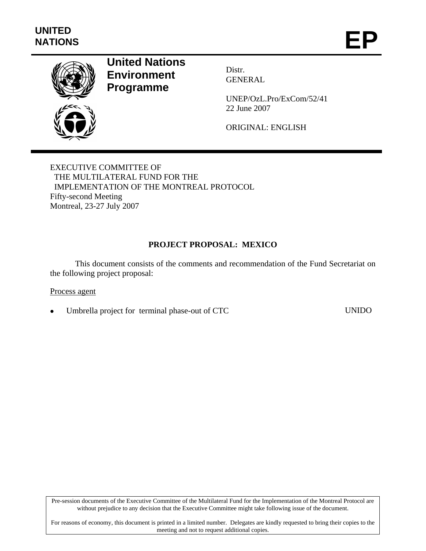

# **United Nations Environment Programme**

Distr. GENERAL

UNEP/OzL.Pro/ExCom/52/41 22 June 2007

ORIGINAL: ENGLISH

EXECUTIVE COMMITTEE OF THE MULTILATERAL FUND FOR THE IMPLEMENTATION OF THE MONTREAL PROTOCOL Fifty-second Meeting Montreal, 23-27 July 2007

# **PROJECT PROPOSAL: MEXICO**

This document consists of the comments and recommendation of the Fund Secretariat on the following project proposal:

#### Process agent

Umbrella project for terminal phase-out of CTC UNIDO

Pre-session documents of the Executive Committee of the Multilateral Fund for the Implementation of the Montreal Protocol are without prejudice to any decision that the Executive Committee might take following issue of the document.

For reasons of economy, this document is printed in a limited number. Delegates are kindly requested to bring their copies to the meeting and not to request additional copies.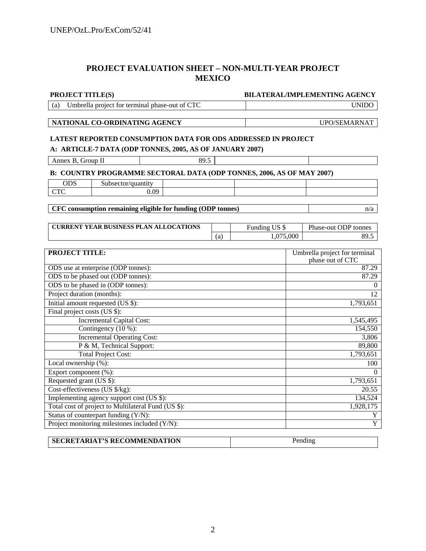# **PROJECT EVALUATION SHEET – NON-MULTI-YEAR PROJECT MEXICO**

| <b>PROJECT TITLE(S)</b>                                               |      |         | <b>BILATERAL/IMPLEMENTING AGENCY</b> |                     |                                                   |  |  |  |
|-----------------------------------------------------------------------|------|---------|--------------------------------------|---------------------|---------------------------------------------------|--|--|--|
| Umbrella project for terminal phase-out of CTC<br>(a)                 |      |         |                                      | <b>UNIDO</b>        |                                                   |  |  |  |
|                                                                       |      |         |                                      |                     |                                                   |  |  |  |
| NATIONAL CO-ORDINATING AGENCY                                         |      |         |                                      | UPO/SEMARNAT        |                                                   |  |  |  |
|                                                                       |      |         |                                      |                     |                                                   |  |  |  |
| <b>LATEST REPORTED CONSUMPTION DATA FOR ODS ADDRESSED IN PROJECT</b>  |      |         |                                      |                     |                                                   |  |  |  |
| A: ARTICLE-7 DATA (ODP TONNES, 2005, AS OF JANUARY 2007)              |      |         |                                      |                     |                                                   |  |  |  |
| Annex B, Group II                                                     | 89.5 |         |                                      |                     |                                                   |  |  |  |
| B: COUNTRY PROGRAMME SECTORAL DATA (ODP TONNES, 2006, AS OF MAY 2007) |      |         |                                      |                     |                                                   |  |  |  |
| <b>ODS</b><br>Subsector/quantity                                      |      |         |                                      |                     |                                                   |  |  |  |
| <b>CTC</b><br>0.09                                                    |      |         |                                      |                     |                                                   |  |  |  |
|                                                                       |      |         |                                      |                     |                                                   |  |  |  |
| CFC consumption remaining eligible for funding (ODP tonnes)           |      |         |                                      |                     | n/a                                               |  |  |  |
|                                                                       |      |         |                                      |                     |                                                   |  |  |  |
| <b>CURRENT YEAR BUSINESS PLAN ALLOCATIONS</b>                         |      |         | Funding US \$                        |                     | Phase-out ODP tonnes                              |  |  |  |
|                                                                       |      | (a)     | 1,075,000                            |                     | 89.5                                              |  |  |  |
|                                                                       |      |         |                                      |                     |                                                   |  |  |  |
| <b>PROJECT TITLE:</b>                                                 |      |         |                                      |                     | Umbrella project for terminal<br>phase out of CTC |  |  |  |
| ODS use at enterprise (ODP tonnes):                                   |      |         |                                      | 87.29               |                                                   |  |  |  |
| ODS to be phased out (ODP tonnes):                                    |      |         |                                      | 87.29               |                                                   |  |  |  |
| ODS to be phased in (ODP tonnes):                                     |      |         |                                      | $\Omega$            |                                                   |  |  |  |
| Project duration (months):                                            |      |         | 12                                   |                     |                                                   |  |  |  |
| Initial amount requested (US \$):                                     |      |         |                                      | 1,793,651           |                                                   |  |  |  |
| Final project costs (US \$):                                          |      |         |                                      |                     |                                                   |  |  |  |
| <b>Incremental Capital Cost:</b>                                      |      |         |                                      | 1,545,495           |                                                   |  |  |  |
| Contingency (10 %):                                                   |      |         |                                      | 154,550             |                                                   |  |  |  |
| <b>Incremental Operating Cost:</b>                                    |      |         |                                      |                     | 3,806                                             |  |  |  |
| P & M, Technical Support:                                             |      |         |                                      | 89,800              |                                                   |  |  |  |
| <b>Total Project Cost:</b>                                            |      |         |                                      | 1,793,651           |                                                   |  |  |  |
| Local ownership $(\% )$ :                                             |      |         |                                      | 100                 |                                                   |  |  |  |
| Export component (%):                                                 |      |         |                                      | $\Omega$            |                                                   |  |  |  |
| Requested grant (US \$):                                              |      |         |                                      | 1,793,651           |                                                   |  |  |  |
| Cost-effectiveness (US \$/kg):                                        |      |         | 20.55                                |                     |                                                   |  |  |  |
| Implementing agency support cost (US \$):                             |      |         | 134,524                              |                     |                                                   |  |  |  |
| Total cost of project to Multilateral Fund (US \$):                   |      |         | 1,928,175                            |                     |                                                   |  |  |  |
| Status of counterpart funding (Y/N):                                  |      |         |                                      | Y<br>$\overline{Y}$ |                                                   |  |  |  |
| Project monitoring milestones included (Y/N):                         |      |         |                                      |                     |                                                   |  |  |  |
| <b>SECRETARIAT'S RECOMMENDATION</b>                                   |      | Pending |                                      |                     |                                                   |  |  |  |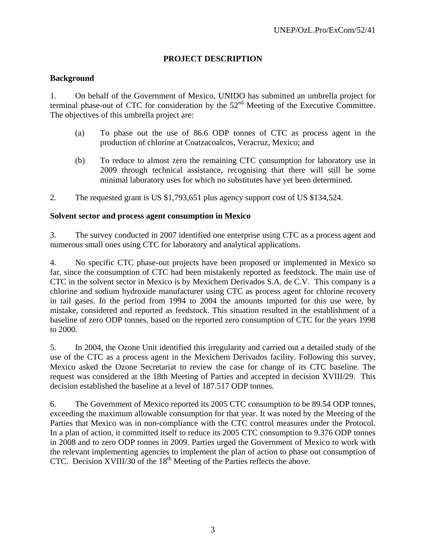## **PROJECT DESCRIPTION**

### **Background**

1. On behalf of the Government of Mexico, UNIDO has submitted an umbrella project for terminal phase-out of CTC for consideration by the  $52<sup>nd</sup>$  Meeting of the Executive Committee. The objectives of this umbrella project are:

- (a) To phase out the use of 86.6 ODP tonnes of CTC as process agent in the production of chlorine at Coatzacoalcos, Veracruz, Mexico; and
- (b) To reduce to almost zero the remaining CTC consumption for laboratory use in 2009 through technical assistance, recognising that there will still be some minimal laboratory uses for which no substitutes have yet been determined.
- 2. The requested grant is US \$1,793,651 plus agency support cost of US \$134,524.

### **Solvent sector and process agent consumption in Mexico**

3. The survey conducted in 2007 identified one enterprise using CTC as a process agent and numerous small ones using CTC for laboratory and analytical applications.

4. No specific CTC phase-out projects have been proposed or implemented in Mexico so far, since the consumption of CTC had been mistakenly reported as feedstock. The main use of CTC in the solvent sector in Mexico is by Mexichem Derivados S.A. de C.V. This company is a chlorine and sodium hydroxide manufacturer using CTC as process agent for chlorine recovery in tail gases. In the period from 1994 to 2004 the amounts imported for this use were, by mistake, considered and reported as feedstock. This situation resulted in the establishment of a baseline of zero ODP tonnes, based on the reported zero consumption of CTC for the years 1998 to 2000.

5. In 2004, the Ozone Unit identified this irregularity and carried out a detailed study of the use of the CTC as a process agent in the Mexichem Derivados facility. Following this survey, Mexico asked the Ozone Secretariat to review the case for change of its CTC baseline. The request was considered at the 18th Meeting of Parties and accepted in decision XVIII/29. This decision established the baseline at a level of 187.517 ODP tonnes.

6. The Government of Mexico reported its 2005 CTC consumption to be 89.54 ODP tonnes, exceeding the maximum allowable consumption for that year. It was noted by the Meeting of the Parties that Mexico was in non-compliance with the CTC control measures under the Protocol. In a plan of action, it committed itself to reduce its 2005 CTC consumption to 9.376 ODP tonnes in 2008 and to zero ODP tonnes in 2009. Parties urged the Government of Mexico to work with the relevant implementing agencies to implement the plan of action to phase out consumption of CTC. Decision XVIII/30 of the  $18<sup>th</sup>$  Meeting of the Parties reflects the above.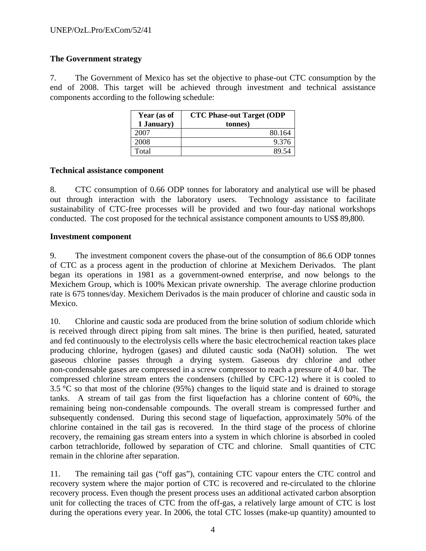## **The Government strategy**

7. The Government of Mexico has set the objective to phase-out CTC consumption by the end of 2008. This target will be achieved through investment and technical assistance components according to the following schedule:

| Year (as of | <b>CTC Phase-out Target (ODP</b> |  |  |  |  |
|-------------|----------------------------------|--|--|--|--|
| 1 January)  | tonnes)                          |  |  |  |  |
| 2007        | 80.164                           |  |  |  |  |
| 2008        | 9.376                            |  |  |  |  |
| Total       |                                  |  |  |  |  |

### **Technical assistance component**

8. CTC consumption of 0.66 ODP tonnes for laboratory and analytical use will be phased out through interaction with the laboratory users. Technology assistance to facilitate sustainability of CTC-free processes will be provided and two four-day national workshops conducted. The cost proposed for the technical assistance component amounts to US\$ 89,800.

### **Investment component**

9. The investment component covers the phase-out of the consumption of 86.6 ODP tonnes of CTC as a process agent in the production of chlorine at Mexichem Derivados. The plant began its operations in 1981 as a government-owned enterprise, and now belongs to the Mexichem Group, which is 100% Mexican private ownership. The average chlorine production rate is 675 tonnes/day. Mexichem Derivados is the main producer of chlorine and caustic soda in Mexico.

10. Chlorine and caustic soda are produced from the brine solution of sodium chloride which is received through direct piping from salt mines. The brine is then purified, heated, saturated and fed continuously to the electrolysis cells where the basic electrochemical reaction takes place producing chlorine, hydrogen (gases) and diluted caustic soda (NaOH) solution. The wet gaseous chlorine passes through a drying system. Gaseous dry chlorine and other non-condensable gases are compressed in a screw compressor to reach a pressure of 4.0 bar. The compressed chlorine stream enters the condensers (chilled by CFC-12) where it is cooled to 3.5 °C so that most of the chlorine (95%) changes to the liquid state and is drained to storage tanks. A stream of tail gas from the first liquefaction has a chlorine content of 60%, the remaining being non-condensable compounds. The overall stream is compressed further and subsequently condensed. During this second stage of liquefaction, approximately 50% of the chlorine contained in the tail gas is recovered. In the third stage of the process of chlorine recovery, the remaining gas stream enters into a system in which chlorine is absorbed in cooled carbon tetrachloride, followed by separation of CTC and chlorine. Small quantities of CTC remain in the chlorine after separation.

11. The remaining tail gas ("off gas"), containing CTC vapour enters the CTC control and recovery system where the major portion of CTC is recovered and re-circulated to the chlorine recovery process. Even though the present process uses an additional activated carbon absorption unit for collecting the traces of CTC from the off-gas, a relatively large amount of CTC is lost during the operations every year. In 2006, the total CTC losses (make-up quantity) amounted to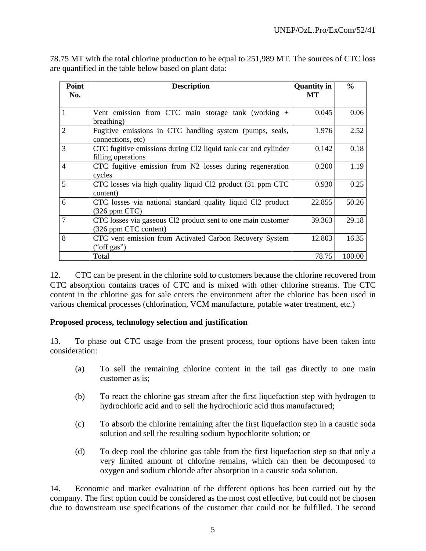| Point          | <b>Description</b>                                                                    | <b>Quantity in</b> | $\frac{0}{0}$ |
|----------------|---------------------------------------------------------------------------------------|--------------------|---------------|
| No.            |                                                                                       | МT                 |               |
|                |                                                                                       |                    |               |
| $\mathbf{1}$   | Vent emission from CTC main storage tank (working +<br>breathing)                     | 0.045              | 0.06          |
| $\overline{2}$ | Fugitive emissions in CTC handling system (pumps, seals,<br>connections, etc)         | 1.976              | 2.52          |
| 3              | CTC fugitive emissions during Cl2 liquid tank car and cylinder<br>filling operations  | 0.142              | 0.18          |
| $\overline{4}$ | CTC fugitive emission from N2 losses during regeneration<br>cycles                    | 0.200              | 1.19          |
| 5              | CTC losses via high quality liquid Cl2 product (31 ppm CTC<br>content)                | 0.930              | 0.25          |
| 6              | CTC losses via national standard quality liquid Cl2 product<br>$(326$ ppm CTC $)$     | 22.855             | 50.26         |
| $\overline{7}$ | CTC losses via gaseous Cl2 product sent to one main customer<br>(326 ppm CTC content) | 39.363             | 29.18         |
| 8              | CTC vent emission from Activated Carbon Recovery System<br>("off gas")                | 12.803             | 16.35         |
|                | Total                                                                                 | 78.75              | 100.00        |

78.75 MT with the total chlorine production to be equal to 251,989 MT. The sources of CTC loss are quantified in the table below based on plant data:

12. CTC can be present in the chlorine sold to customers because the chlorine recovered from CTC absorption contains traces of CTC and is mixed with other chlorine streams. The CTC content in the chlorine gas for sale enters the environment after the chlorine has been used in various chemical processes (chlorination, VCM manufacture, potable water treatment, etc.)

#### **Proposed process, technology selection and justification**

13. To phase out CTC usage from the present process, four options have been taken into consideration:

- (a) To sell the remaining chlorine content in the tail gas directly to one main customer as is;
- (b) To react the chlorine gas stream after the first liquefaction step with hydrogen to hydrochloric acid and to sell the hydrochloric acid thus manufactured;
- (c) To absorb the chlorine remaining after the first liquefaction step in a caustic soda solution and sell the resulting sodium hypochlorite solution; or
- (d) To deep cool the chlorine gas table from the first liquefaction step so that only a very limited amount of chlorine remains, which can then be decomposed to oxygen and sodium chloride after absorption in a caustic soda solution.

14. Economic and market evaluation of the different options has been carried out by the company. The first option could be considered as the most cost effective, but could not be chosen due to downstream use specifications of the customer that could not be fulfilled. The second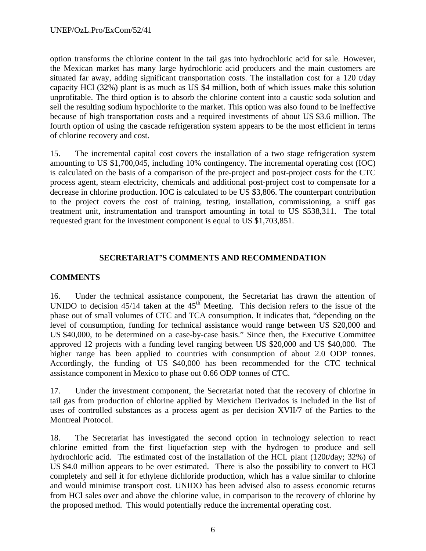option transforms the chlorine content in the tail gas into hydrochloric acid for sale. However, the Mexican market has many large hydrochloric acid producers and the main customers are situated far away, adding significant transportation costs. The installation cost for a 120 t/day capacity HCl (32%) plant is as much as US \$4 million, both of which issues make this solution unprofitable. The third option is to absorb the chlorine content into a caustic soda solution and sell the resulting sodium hypochlorite to the market. This option was also found to be ineffective because of high transportation costs and a required investments of about US \$3.6 million. The fourth option of using the cascade refrigeration system appears to be the most efficient in terms of chlorine recovery and cost.

15. The incremental capital cost covers the installation of a two stage refrigeration system amounting to US \$1,700,045, including 10% contingency. The incremental operating cost (IOC) is calculated on the basis of a comparison of the pre-project and post-project costs for the CTC process agent, steam electricity, chemicals and additional post-project cost to compensate for a decrease in chlorine production. IOC is calculated to be US \$3,806. The counterpart contribution to the project covers the cost of training, testing, installation, commissioning, a sniff gas treatment unit, instrumentation and transport amounting in total to US \$538,311. The total requested grant for the investment component is equal to US \$1,703,851.

## **SECRETARIAT'S COMMENTS AND RECOMMENDATION**

## **COMMENTS**

16. Under the technical assistance component, the Secretariat has drawn the attention of UNIDO to decision  $45/14$  taken at the  $45<sup>th</sup>$  Meeting. This decision refers to the issue of the phase out of small volumes of CTC and TCA consumption. It indicates that, "depending on the level of consumption, funding for technical assistance would range between US \$20,000 and US \$40,000, to be determined on a case-by-case basis." Since then, the Executive Committee approved 12 projects with a funding level ranging between US \$20,000 and US \$40,000. The higher range has been applied to countries with consumption of about 2.0 ODP tonnes. Accordingly, the funding of US \$40,000 has been recommended for the CTC technical assistance component in Mexico to phase out 0.66 ODP tonnes of CTC.

17. Under the investment component, the Secretariat noted that the recovery of chlorine in tail gas from production of chlorine applied by Mexichem Derivados is included in the list of uses of controlled substances as a process agent as per decision XVII/7 of the Parties to the Montreal Protocol.

18. The Secretariat has investigated the second option in technology selection to react chlorine emitted from the first liquefaction step with the hydrogen to produce and sell hydrochloric acid. The estimated cost of the installation of the HCL plant (120t/day; 32%) of US \$4.0 million appears to be over estimated. There is also the possibility to convert to HCl completely and sell it for ethylene dichloride production, which has a value similar to chlorine and would minimise transport cost. UNIDO has been advised also to assess economic returns from HCl sales over and above the chlorine value, in comparison to the recovery of chlorine by the proposed method. This would potentially reduce the incremental operating cost.